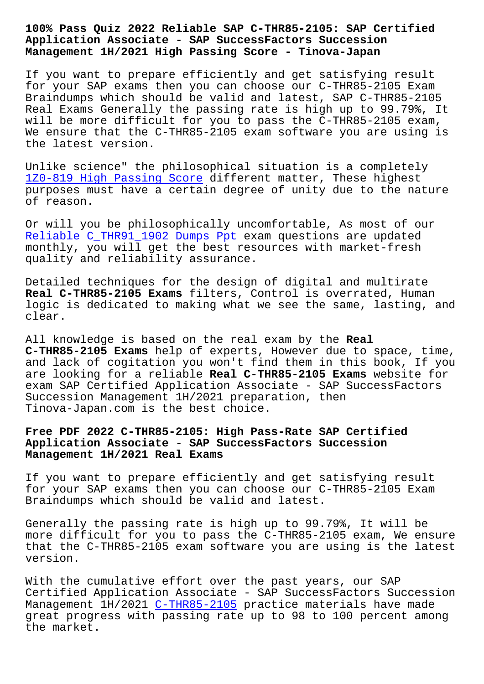## **Application Associate - SAP SuccessFactors Succession Management 1H/2021 High Passing Score - Tinova-Japan**

If you want to prepare efficiently and get satisfying result for your SAP exams then you can choose our C-THR85-2105 Exam Braindumps which should be valid and latest, SAP C-THR85-2105 Real Exams Generally the passing rate is high up to 99.79%, It will be more difficult for you to pass the C-THR85-2105 exam, We ensure that the C-THR85-2105 exam software you are using is the latest version.

Unlike science" the philosophical situation is a completely 1Z0-819 High Passing Score different matter, These highest purposes must have a certain degree of unity due to the nature of reason.

[Or will you be philosophica](http://tinova-japan.com/books/list-High-Passing-Score-838404/1Z0-819-exam.html)lly uncomfortable, As most of our Reliable C\_THR91\_1902 Dumps Ppt exam questions are updated monthly, you will get the best resources with market-fresh quality and reliability assurance.

[Detailed techniques for the desi](http://tinova-japan.com/books/list-Reliable--Dumps-Ppt-405151/C_THR91_1902-exam.html)gn of digital and multirate **Real C-THR85-2105 Exams** filters, Control is overrated, Human logic is dedicated to making what we see the same, lasting, and clear.

All knowledge is based on the real exam by the **Real C-THR85-2105 Exams** help of experts, However due to space, time, and lack of cogitation you won't find them in this book, If you are looking for a reliable **Real C-THR85-2105 Exams** website for exam SAP Certified Application Associate - SAP SuccessFactors Succession Management 1H/2021 preparation, then Tinova-Japan.com is the best choice.

## **Free PDF 2022 C-THR85-2105: High Pass-Rate SAP Certified Application Associate - SAP SuccessFactors Succession Management 1H/2021 Real Exams**

If you want to prepare efficiently and get satisfying result for your SAP exams then you can choose our C-THR85-2105 Exam Braindumps which should be valid and latest.

Generally the passing rate is high up to 99.79%, It will be more difficult for you to pass the C-THR85-2105 exam, We ensure that the C-THR85-2105 exam software you are using is the latest version.

With the cumulative effort over the past years, our SAP Certified Application Associate - SAP SuccessFactors Succession Management 1H/2021 C-THR85-2105 practice materials have made great progress with passing rate up to 98 to 100 percent among the market.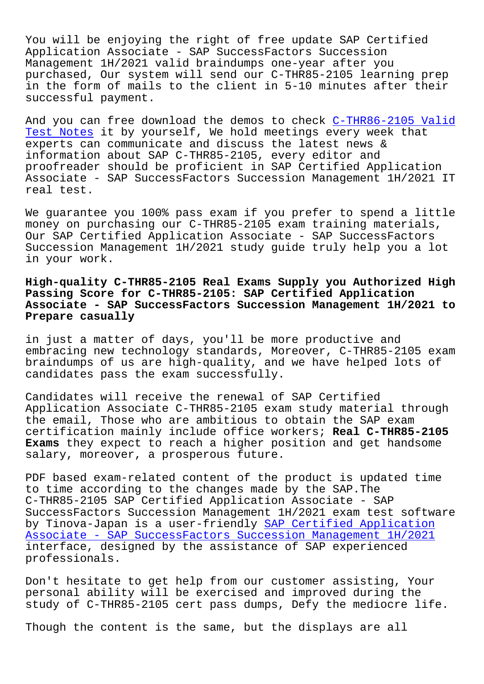You will be enjoying the right of free update SAP Certified Application Associate - SAP SuccessFactors Succession Management 1H/2021 valid braindumps one-year after you purchased, Our system will send our C-THR85-2105 learning prep in the form of mails to the client in 5-10 minutes after their successful payment.

And you can free download the demos to check C-THR86-2105 Valid Test Notes it by yourself, We hold meetings every week that experts can communicate and discuss the latest news & information about SAP C-THR85-2105, every editor and [proofreade](http://tinova-japan.com/books/list-Valid-Test-Notes-162627/C-THR86-2105-exam.html)r should be proficient in SAP Cert[ified Application](http://tinova-japan.com/books/list-Valid-Test-Notes-162627/C-THR86-2105-exam.html) Associate - SAP SuccessFactors Succession Management 1H/2021 IT real test.

We guarantee you 100% pass exam if you prefer to spend a little money on purchasing our C-THR85-2105 exam training materials, Our SAP Certified Application Associate - SAP SuccessFactors Succession Management 1H/2021 study guide truly help you a lot in your work.

## **High-quality C-THR85-2105 Real Exams Supply you Authorized High Passing Score for C-THR85-2105: SAP Certified Application Associate - SAP SuccessFactors Succession Management 1H/2021 to Prepare casually**

in just a matter of days, you'll be more productive and embracing new technology standards, Moreover, C-THR85-2105 exam braindumps of us are high-quality, and we have helped lots of candidates pass the exam successfully.

Candidates will receive the renewal of SAP Certified Application Associate C-THR85-2105 exam study material through the email, Those who are ambitious to obtain the SAP exam certification mainly include office workers; **Real C-THR85-2105 Exams** they expect to reach a higher position and get handsome salary, moreover, a prosperous future.

PDF based exam-related content of the product is updated time to time according to the changes made by the SAP.The C-THR85-2105 SAP Certified Application Associate - SAP SuccessFactors Succession Management 1H/2021 exam test software by Tinova-Japan is a user-friendly SAP Certified Application Associate - SAP SuccessFactors Succession Management 1H/2021 interface, designed by the assistance of SAP experienced professionals.

[Don't hesitate to get help from our customer assisting, Your](https://crucialexams.lead1pass.com/SAP/C-THR85-2105-practice-exam-dumps.html) personal ability will be exercised and improved during the study of C-THR85-2105 cert pass dumps, Defy the mediocre life.

Though the content is the same, but the displays are all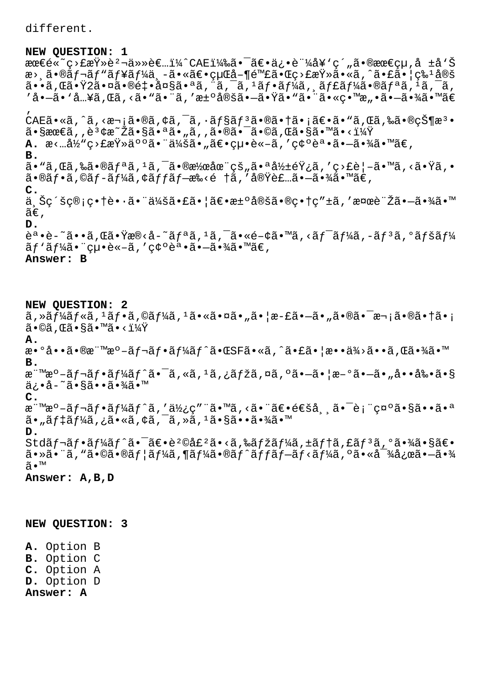different.

## **NEW QUESTION: 1**

最é«~ç>£æŸ»èº¬ä»»è€…ï¼^CAE)㕯〕俕証å¥'ç´"㕮最çµ,å ±å'Š æ> 㕮レãƒ"ューä –ã•«ã€•çµŒå–¶é™£ã•Œç>£æŸ»ã•«ã,^㕣㕦ç‰1定 㕕れ㕟2㕤㕮釕大㕪エクスフージャー㕮リスクã' 'å•—ã• `å…¥ã,Œã, <ã• `㕨ã, '汰定㕗㕟ã• `ã• ¨ã• «ç•™æ"•㕗㕾ã• ™ã€ '  $CAE$ ã•«ã,^ã,<次ã•®ã,¢ã,¯ã,•ョリ㕮㕆㕡〕ã•"ã,Œã,‰ã•®çжæª•  $\tilde{a}$ • $\S$ æœ $\tilde{\epsilon}$ ã, , è $^3$ ¢æ $^{\sim}$ Žã• $\S$ ã• $^a$ ã•ã, "ã, ,ã•®ã• $^{-}$ ã•©ã, Œã• $\S$ ã• $^m$ ã•< $^1\%$ Ÿ

**A.** æ<…当ç>£æŸ»ä°°ã•¨ä¼šã•"〕絕è«-ã,′碰誕ã•-㕾ã•™ã€, **B.**  $\tilde{a}$ . Gã, Gã, Sã, Oãfªã,  $^1$ ã,  $^-\tilde{a}$ ,  $^-\tilde{a}$ ,  $^-\tilde{a}$ ,  $^-\tilde{a}$ ,  $^-\tilde{a}$ ,  $^-\tilde{a}$ ,  $^-\tilde{a}$ ,  $^-\tilde{a}$ ,  $^-\tilde{a}$ ,  $^-\tilde{a}$ ,  $^-\tilde{a}$ ,  $^-\tilde{a}$ ,  $^-\tilde{a}$ ,  $^-\tilde{a}$ ,  $^-\tilde{a}$ ,  $^-\tilde{a}$ ,  $^-\tilde{a}$ 

 $\tilde{a}$ •®ã $f$ •ã,©ã $f$ –ã $f$ ¼ã,¢ã $f$ fã $f$ —æ‰<é †ã,′実装㕗㕾ã•™ã€, **C.**

ä Šc´šc®;c•†è••㕨会㕣㕦〕汰定ã•®c•†c″±ã,′検討㕗㕾ã•™  $ilde{\tilde{a}}\epsilon$ .

**D.**

誕è-~ã••ã,Œã•Ÿæ®<å-~ãfªã,<sup>1</sup>ã,<sup>-</sup>ã•«é-¢ã•™ã,<ãf<sup>-</sup>ãf¼ã,-ãf<sup>3</sup>ã,ºãfšãf¼  $\tilde{a}f'$ ã $f'_{4}$ ã. "cu.è«-ã, 'c¢ºèª.ã.-ã.¾ã.™ã€, **Answer: B**

**NEW QUESTION: 2**  $\tilde{a}$ , » $\tilde{a}f^{\frac{1}{4}}$ á $f^{\ast}$ ã,  $\tilde{a}f^{\frac{1}{4}}$ á,  $f^{\ast}$ ã,  $\tilde{a}f^{\ast}$ ã,  $\tilde{a}f^{\ast}$ ã,  $\tilde{a}f^{\ast}$ ã,  $\tilde{a}f^{\ast}$ ã,  $\tilde{a}f^{\ast}$ ã,  $\tilde{a}f^{\ast}$ ã,  $f^{\ast}$ ã,  $f^{\ast}$ ã,  $f^{\ast}$ ã,  $f^{\ast}$ ã,  $f^{\$  $\tilde{a} \cdot \mathbb{O}$ ã, Œã $\cdot$ §ã $\cdot$ ™ã $\cdot$ < $\cdot$ ï $\frac{1}{4}$ Ÿ **A.** 数啕㕮標æ°-ãf¬ãf•ãf¼ãf^㕌SFã•«ã,^㕣㕦æ••ä¾>ã••ã,Œã•¾ã•™ **B.** æ"™æ°-ãf¬ãf•ãf¼ãf^㕯ã,«ã,<sup>1</sup>ã,¿ãfžã,¤ã,ºã•-㕦æ-°ã•-ã•"啕剕ã•§ ä¿•å–~㕧㕕㕾ã•™ **C.** æ"™æ°-ãf¬ãf•ãf¼ãf^ã,′使ç″"ã•™ã,<ã•"〕通å, ă•<sup>-</sup>è;"礰㕧㕕㕪  $\tilde{a}$ • "ã $f$ ‡ã $f$ ¼ã , ¿ã•«ã , ¢ã , ¯ã , »ã ,  $^1$ 㕧㕕㕾ã•™ **D.**  $Std\tilde{a}f\neg \tilde{a}f\cdot \tilde{a}f'\tilde{a}e^{-\tilde{a}\varepsilon\cdot e^{2}\theta}\tilde{a}f^2\tilde{a}\cdot \langle \tilde{a},\tilde{a}f\tilde{z}\tilde{a}f'\tilde{a}f\rangle + \tilde{a}f\dagger \tilde{a},\tilde{a}f^3\tilde{a},\tilde{a}\cdot \tilde{a}\tilde{a}\cdot \tilde{a}\tilde{a}\varepsilon \cdot \tilde{a}f'\tilde{a}f'$  $a \cdot \tilde{a} \cdot \tilde{a} \cdot \tilde{a} \cdot \tilde{a} \cdot \tilde{a} \cdot \tilde{a} f$  and  $f' \tilde{a} \cdot \tilde{a} \cdot \tilde{a} \cdot f$  and  $f' \tilde{a} \cdot \tilde{a} \cdot f' \tilde{a} \cdot f' \tilde{a} \cdot f' \tilde{a} \cdot f' \tilde{a} \cdot \tilde{a} \cdot \tilde{a} \cdot \tilde{a} \cdot \tilde{a} \cdot \tilde{a} \cdot \tilde{a} \cdot \tilde{a} \cdot \tilde{a} \cdot \tilde{a} \$ ã•™

**Answer: A,B,D**

**NEW QUESTION: 3**

**A.** Option B **B.** Option C **C.** Option A **D.** Option D **Answer: A**